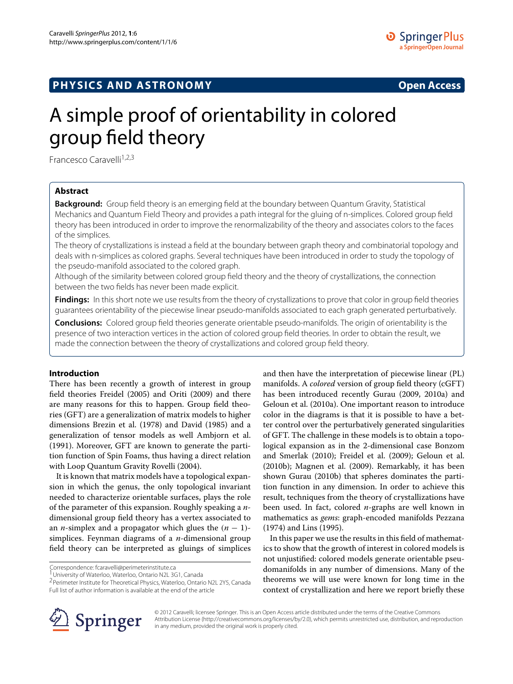## **PHYSICS AND ASTRONOMY Open Access**

# A simple proof of orientability in colored group field theory

Francesco Caravelli<sup>1,2,3</sup>

## **Abstract**

**Background:** Group field theory is an emerging field at the boundary between Quantum Gravity, Statistical Mechanics and Quantum Field Theory and provides a path integral for the gluing of n-simplices. Colored group field theory has been introduced in order to improve the renormalizability of the theory and associates colors to the faces of the simplices.

The theory of crystallizations is instead a field at the boundary between graph theory and combinatorial topology and deals with n-simplices as colored graphs. Several techniques have been introduced in order to study the topology of the pseudo-manifold associated to the colored graph.

Although of the similarity between colored group field theory and the theory of crystallizations, the connection between the two fields has never been made explicit.

**Findings:** In this short note we use results from the theory of crystallizations to prove that color in group field theories guarantees orientability of the piecewise linear pseudo-manifolds associated to each graph generated perturbatively.

**Conclusions:** Colored group field theories generate orientable pseudo-manifolds. The origin of orientability is the presence of two interaction vertices in the action of colored group field theories. In order to obtain the result, we made the connection between the theory of crystallizations and colored group field theory.

## **Introduction**

There has been recently a growth of interest in group field theories Freidel [\(2005\)](#page-4-0) and Oriti [\(2009\)](#page-4-1) and there are many reasons for this to happen. Group field theories (GFT) are a generalization of matrix models to higher dimensions Brezin et al. [\(1978\)](#page-4-2) and David [\(1985\)](#page-4-3) and a generalization of tensor models as well Ambjorn et al. [\(1991\)](#page-4-4). Moreover, GFT are known to generate the partition function of Spin Foams, thus having a direct relation with Loop Quantum Gravity Rovelli [\(2004\)](#page-4-5).

It is known that matrix models have a topological expansion in which the genus, the only topological invariant needed to characterize orientable surfaces, plays the role of the parameter of this expansion. Roughly speaking a *n*dimensional group field theory has a vertex associated to an *n*-simplex and a propagator which glues the  $(n - 1)$ simplices. Feynman diagrams of a *n*-dimensional group field theory can be interpreted as gluings of simplices

Correspondence: fcaravelli@perimeterinstitute.ca

<sup>1</sup> University of Waterloo, Waterloo, Ontario N2L 3G1, Canada

2Perimeter Institute for Theoretical Physics, Waterloo, Ontario N2L 2Y5, Canada Full list of author information is available at the end of the article

and then have the interpretation of piecewise linear (PL) manifolds. A *colored* version of group field theory (cGFT) has been introduced recently Gurau (2009, 2010a) and Geloun et al. [\(2010a\)](#page-4-6). One important reason to introduce color in the diagrams is that it is possible to have a better control over the perturbatively generated singularities of GFT. The challenge in these models is to obtain a topological expansion as in the 2-dimensional case Bonzom and Smerlak [\(2010\)](#page-4-7); Freidel et al. [\(2009\)](#page-4-8); Geloun et al. [\(2010b\)](#page-4-9); Magnen et al. [\(2009\)](#page-4-10). Remarkably, it has been shown Gurau [\(2010b\)](#page-4-11) that spheres dominates the partition function in any dimension. In order to achieve this result, techniques from the theory of crystallizations have been used. In fact, colored *n*-graphs are well known in mathematics as *gems*: graph-encoded manifolds Pezzana [\(1974\)](#page-4-12) and Lins [\(1995\)](#page-4-13).

In this paper we use the results in this field of mathematics to show that the growth of interest in colored models is not unjustified: colored models generate orientable pseudomanifolds in any number of dimensions. Many of the theorems we will use were known for long time in the context of crystallization and here we report briefly these



© 2012 Caravelli; licensee Springer. This is an Open Access article distributed under the terms of the Creative Commons Attribution License (http://creativecommons.org/licenses/by/2.0), which permits unrestricted use, distribution, and reproduction in any medium, provided the original work is properly cited.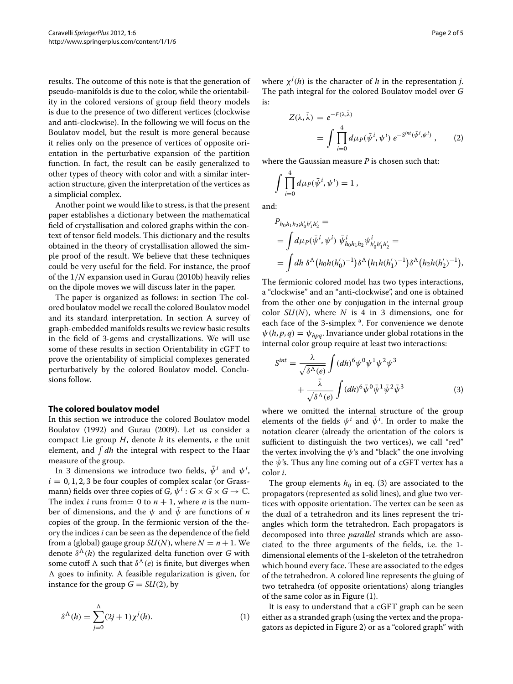results. The outcome of this note is that the generation of pseudo-manifolds is due to the color, while the orientability in the colored versions of group field theory models is due to the presence of two different vertices (clockwise and anti-clockwise). In the following we will focus on the Boulatov model, but the result is more general because it relies only on the presence of vertices of opposite orientation in the perturbative expansion of the partition function. In fact, the result can be easily generalized to other types of theory with color and with a similar interaction structure, given the interpretation of the vertices as a simplicial complex.

Another point we would like to stress, is that the present paper establishes a dictionary between the mathematical field of crystallisation and colored graphs within the context of tensor field models. This dictionary and the results obtained in the theory of crystallisation allowed the simple proof of the result. We believe that these techniques could be very useful for the field. For instance, the proof of the 1*/N* expansion used in Gurau [\(2010b\)](#page-4-11) heavily relies on the dipole moves we will discuss later in the paper.

The paper is organized as follows: in section The colored boulatov model we recall the colored Boulatov model and its standard interpretation. In section A survey of graph-embedded manifolds results we review basic results in the field of 3-gems and crystallizations. We will use some of these results in section Orientability in cGFT to prove the orientability of simplicial complexes generated perturbatively by the colored Boulatov model. Conclusions follow.

### **The colored boulatov model**

In this section we introduce the colored Boulatov model Boulatov [\(1992\)](#page-4-14) and Gurau [\(2009\)](#page-4-15). Let us consider a compact Lie group *H*, denote *h* its elements, *e* the unit element, and  $\int dh$  the integral with respect to the Haar measure of the group.

In 3 dimensions we introduce two fields,  $\bar{\psi}^i$  and  $\psi^i,$  $i = 0, 1, 2, 3$  be four couples of complex scalar (or Grassmann) fields over three copies of *G*,  $\psi^i$  : *G* × *G* × *G* → *C*. The index *i* runs from = 0 to  $n + 1$ , where *n* is the number of dimensions, and the  $\psi$  and  $\bar{\psi}$  are functions of *n* copies of the group. In the fermionic version of the theory the indices *i* can be seen as the dependence of the field from a (global) gauge group *SU*(*N*), where  $N = n + 1$ . We denote  $\delta^{\Lambda}(h)$  the regularized delta function over *G* with some cutoff  $\Lambda$  such that  $\delta^{\Lambda}(e)$  is finite, but diverges when  $\Lambda$  goes to infinity. A feasible regularization is given, for instance for the group  $G = SU(2)$ , by

$$
\delta^{\Lambda}(h) = \sum_{j=0}^{\Lambda} (2j+1) \chi^j(h). \tag{1}
$$

where  $\chi^{j}(h)$  is the character of *h* in the representation *j*. The path integral for the colored Boulatov model over *G* is:

<span id="page-1-1"></span>
$$
Z(\lambda, \bar{\lambda}) = e^{-F(\lambda, \lambda)}
$$
  
= 
$$
\int \prod_{i=0}^{4} d\mu_P(\bar{\psi}^i, \psi^i) e^{-S^{int}(\bar{\psi}^i, \psi^i)},
$$
 (2)

where the Gaussian measure *P* is chosen such that:

$$
\int \prod_{i=0}^4 d\mu_P(\bar{\psi}^i, \psi^i) = 1,
$$

and:

$$
P_{h_0h_1h_2; h'_0h'_1h'_2} =
$$
  
=  $\int d\mu_P(\bar{\psi}^i, \psi^i) \ \bar{\psi}^i_{h_0h_1h_2} \psi^i_{h'_0h'_1h'_2} =$   
=  $\int dh \ \delta^{\Lambda} (h_0h(h'_0)^{-1}) \delta^{\Lambda} (h_1h(h'_1)^{-1}) \delta^{\Lambda} (h_2h(h'_2)^{-1}),$ 

The fermionic colored model has two types interactions, a "clockwise" and an "anti-clockwise", and one is obtained from the other one by conjugation in the internal group color *SU(N)*, where *N* is 4 in 3 dimensions, one for each face of the 3-simplex <sup>a</sup>. For convenience we denote  $\psi(h, p, q) = \psi_{h p q}$ . Invariance under global rotations in the internal color group require at least two interactions:

<span id="page-1-0"></span>
$$
S^{int} = \frac{\lambda}{\sqrt{\delta^{\Lambda}(e)}} \int (dh)^{6} \psi^{0} \psi^{1} \psi^{2} \psi^{3} + \frac{\bar{\lambda}}{\sqrt{\delta^{\Lambda}(e)}} \int (dh)^{6} \bar{\psi}^{0} \bar{\psi}^{1} \bar{\psi}^{2} \bar{\psi}^{3}
$$
(3)

where we omitted the internal structure of the group elements of the fields  $\psi^i$  and  $\bar\psi^i$ . In order to make the notation clearer (already the orientation of the colors is sufficient to distinguish the two vertices), we call "red" the vertex involving the *ψ*'s and "black" the one involving the  $\bar{\psi}$ 's. Thus any line coming out of a cGFT vertex has a color *i*.

The group elements  $h_{ij}$  in eq. [\(3\)](#page-1-0) are associated to the propagators (represented as solid lines), and glue two vertices with opposite orientation. The vertex can be seen as the dual of a tetrahedron and its lines represent the triangles which form the tetrahedron. Each propagators is decomposed into three *parallel* strands which are associated to the three arguments of the fields, i.e. the 1 dimensional elements of the 1-skeleton of the tetrahedron which bound every face. These are associated to the edges of the tetrahedron. A colored line represents the gluing of two tetrahedra (of opposite orientations) along triangles of the same color as in Figure [\(1\)](#page-2-0).

It is easy to understand that a cGFT graph can be seen either as a stranded graph (using the vertex and the propagators as depicted in Figure [2\)](#page-2-1) or as a "colored graph" with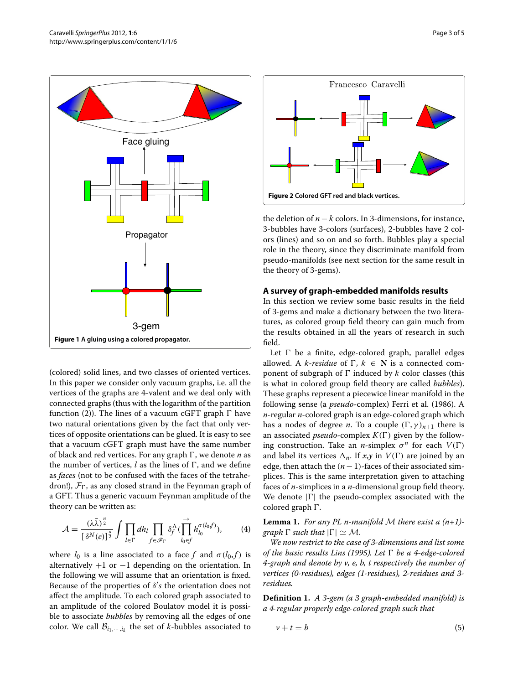

<span id="page-2-0"></span>(colored) solid lines, and two classes of oriented vertices. In this paper we consider only vacuum graphs, i.e. all the vertices of the graphs are 4-valent and we deal only with connected graphs (thus with the logarithm of the partition function [\(2\)](#page-1-1)). The lines of a vacuum cGFT graph  $\Gamma$  have two natural orientations given by the fact that only vertices of opposite orientations can be glued. It is easy to see that a vacuum cGFT graph must have the same number of black and red vertices. For any graph  $\Gamma$ , we denote *n* as the number of vertices,  $l$  as the lines of  $\Gamma$ , and we define as *faces* (not to be confused with the faces of the tetrahedron!),  $\mathcal{F}_{\Gamma}$ , as any closed strand in the Feynman graph of a GFT. Thus a generic vacuum Feynman amplitude of the theory can be written as:

$$
\mathcal{A} = \frac{(\lambda \bar{\lambda})^{\frac{n}{2}}}{\left[\delta^N(e)\right]^{\frac{n}{2}}} \int \prod_{l \in \Gamma} dh_l \prod_{f \in \mathcal{F}_{\Gamma}} \delta_f^{\Lambda}(\prod_{l_0 \in f}^{\rightarrow} h_{l_0}^{\sigma(l_0 f)}), \qquad (4)
$$

where  $l_0$  is a line associated to a face f and  $\sigma(l_0, f)$  is alternatively  $+1$  or  $-1$  depending on the orientation. In the following we will assume that an orientation is fixed. Because of the properties of *δ s* the orientation does not affect the amplitude. To each colored graph associated to an amplitude of the colored Boulatov model it is possible to associate *bubbles* by removing all the edges of one color. We call  $\mathcal{B}_{i_1,\dots,i_k}$  the set of *k*-bubbles associated to



<span id="page-2-1"></span>the deletion of  $n - k$  colors. In 3-dimensions, for instance, 3-bubbles have 3-colors (surfaces), 2-bubbles have 2 colors (lines) and so on and so forth. Bubbles play a special role in the theory, since they discriminate manifold from pseudo-manifolds (see next section for the same result in the theory of 3-gems).

#### **A survey of graph-embedded manifolds results**

In this section we review some basic results in the field of 3-gems and make a dictionary between the two literatures, as colored group field theory can gain much from the results obtained in all the years of research in such field.

Let  $\Gamma$  be a finite, edge-colored graph, parallel edges allowed. A *k*-*residue* of  $\Gamma$ ,  $k \in \mathbb{N}$  is a connected component of subgraph of  $\Gamma$  induced by  $k$  color classes (this is what in colored group field theory are called *bubbles*). These graphs represent a piecewice linear manifold in the following sense (a *pseudo*-complex) Ferri et al. [\(1986\)](#page-4-16). A *n*-regular *n*-colored graph is an edge-colored graph which has a nodes of degree *n*. To a couple  $(\Gamma, \gamma)_{n+1}$  there is an associated *pseudo*-complex  $K(\Gamma)$  given by the following construction. Take an *n*-simplex  $\sigma^n$  for each  $V(\Gamma)$ and label its vertices  $\Delta_n$ . If *x*,*y* in  $V(\Gamma)$  are joined by an edge, then attach the  $(n-1)$ -faces of their associated simplices. This is the same interpretation given to attaching faces of *n*-simplices in a *n*-dimensional group field theory. We denote  $|\Gamma|$  the pseudo-complex associated with the colored graph  $\Gamma$ .

**Lemma 1.** *For any PL n-manifold* M *there exist a (n+1) graph*  $\Gamma$  *such that*  $|\Gamma| \simeq M$ *.* 

*We now restrict to the case of 3-dimensions and list some of the basic results Lins [\(1995\)](#page-4-13). Let be a 4-edge-colored 4-graph and denote by v, e, b, t respectively the number of vertices (0-residues), edges (1-residues), 2-residues and 3 residues.*

**Definition 1.** *A 3-gem (a 3 graph-embedded manifold) is a 4-regular properly edge-colored graph such that*

<span id="page-2-2"></span>
$$
v + t = b \tag{5}
$$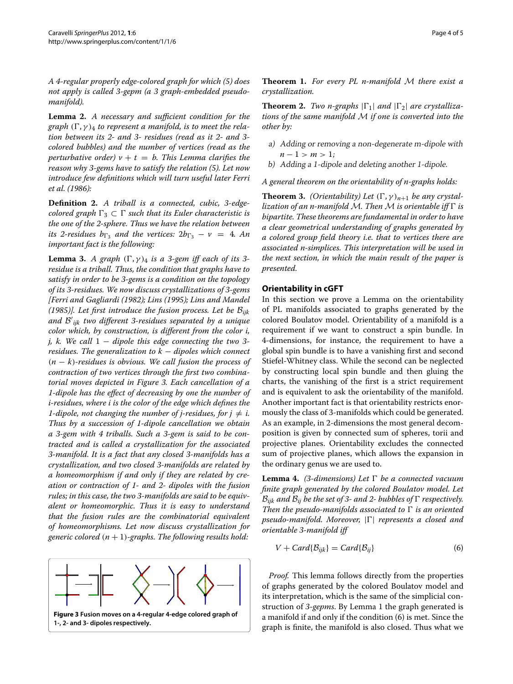*A 4-regular properly edge-colored graph for which [\(5\)](#page-2-2) does not apply is called 3-gepm (a 3 graph-embedded pseudomanifold).*

**Lemma 2.** *A necessary and sufficient condition for the graph*  $(\Gamma, \gamma)$ <sub>4</sub> *to represent a manifold, is to meet the relation between its 2- and 3- residues (read as it 2- and 3 colored bubbles) and the number of vertices (read as the perturbative order)*  $v + t = b$ . This Lemma clarifies the *reason why 3-gems have to satisfy the relation [\(5\)](#page-2-2). Let now introduce few definitions which will turn useful later Ferri et al. [\(1986\)](#page-4-16):*

**Definition 2.** *A triball is a connected, cubic, 3-edgecolored graph*  $\Gamma_3 \subset \Gamma$  *such that its Euler characteristic is the one of the 2-sphere. Thus we have the relation between its 2-residues*  $b_{\Gamma_3}$  *and the vertices:*  $2b_{\Gamma_3} - v = 4$ *. An important fact is the following:*

**Lemma 3.** *A graph*  $(\Gamma, \gamma)$ <sub>4</sub> *is a 3-gem iff each of its 3residue is a triball. Thus, the condition that graphs have to satisfy in order to be 3-gems is a condition on the topology of its 3-residues. We now discuss crystallizations of 3-gems [Ferri and Gagliardi [\(1982\)](#page-4-17); Lins [\(1995\)](#page-4-13); Lins and Mandel [\(1985\)](#page-4-18)]. Let first introduce the fusion process. Let be* B*ijk and* B *ijk two different 3-residues separated by a unique color which, by construction, is different from the color i, j, k. We call* 1 − *dipole this edge connecting the two 3 residues. The generalization to k* − *dipoles which connect (n* − *k)-residues is obvious. We call fusion the process of contraction of two vertices through the first two combinatorial moves depicted in Figure [3.](#page-3-0) Each cancellation of a 1-dipole has the effect of decreasing by one the number of i-residues, where i is the color of the edge which defines the 1-dipole, not changing the number of j-residues, for*  $j \neq i$ *. Thus by a succession of 1-dipole cancellation we obtain a 3-gem with 4 triballs. Such a 3-gem is said to be contracted and is called a crystallization for the associated 3-manifold. It is a fact that any closed 3-manifolds has a crystallization, and two closed 3-manifolds are related by a homeomorphism if and only if they are related by creation or contraction of 1- and 2- dipoles with the fusion rules; in this case, the two 3-manifolds are said to be equivalent or homeomorphic. Thus it is easy to understand that the fusion rules are the combinatorial equivalent of homeomorphisms. Let now discuss crystallization for generic colored*  $(n + 1)$ *-graphs. The following results hold:* 

<span id="page-3-0"></span>

**Theorem 1.** *For every PL n-manifold* M *there exist a crystallization.*

**Theorem 2.** *Two n-graphs*  $|\Gamma_1|$  *and*  $|\Gamma_2|$  *are crystallizations of the same manifold* M *if one is converted into the other by:*

- a) Adding or removing <sup>a</sup> non-degenerate m-dipole with *n* − 1 > *m* > 1;
- b) Adding <sup>a</sup> 1-dipole and deleting another 1-dipole.

*A general theorem on the orientability of n-graphs holds:*

**Theorem 3.** *(Orientability) Let*  $(\Gamma, \gamma)_{n+1}$  *be any crystallization of an n-manifold* M. Then M is orientable iff  $\Gamma$  is *bipartite. These theorems are fundamental in order to have a clear geometrical understanding of graphs generated by a colored group field theory i.e. that to vertices there are associated n-simplices. This interpretation will be used in the next section, in which the main result of the paper is presented.*

#### **Orientability in cGFT**

In this section we prove a Lemma on the orientability of PL manifolds associated to graphs generated by the colored Boulatov model. Orientability of a manifold is a requirement if we want to construct a spin bundle. In 4-dimensions, for instance, the requirement to have a global spin bundle is to have a vanishing first and second Stiefel-Whitney class. While the second can be neglected by constructing local spin bundle and then gluing the charts, the vanishing of the first is a strict requirement and is equivalent to ask the orientability of the manifold. Another important fact is that orientability restricts enormously the class of 3-manifolds which could be generated. As an example, in 2-dimensions the most general decomposition is given by connected sum of spheres, torii and projective planes. Orientability excludes the connected sum of projective planes, which allows the expansion in the ordinary genus we are used to.

**Lemma 4.** *(3-dimensions)* Let  $\Gamma$  be a connected vacuum *finite graph generated by the colored Boulatov model. Let*  $B_{ijk}$  and  $B_{ij}$  be the set of 3- and 2- bubbles of  $\Gamma$  respectively. *Then the pseudo-manifolds associated to*  $\Gamma$  *is an oriented pseudo-manifold. Moreover,*  $|\Gamma|$  *represents a closed and orientable 3-manifold iff*

<span id="page-3-1"></span>
$$
V + Card\{\mathcal{B}_{ijk}\} = Card\{\mathcal{B}_{ij}\}\tag{6}
$$

*Proof.* This lemma follows directly from the properties of graphs generated by the colored Boulatov model and its interpretation, which is the same of the simplicial construction of *3-gepms*. By Lemma 1 the graph generated is a manifold if and only if the condition [\(6\)](#page-3-1) is met. Since the graph is finite, the manifold is also closed. Thus what we